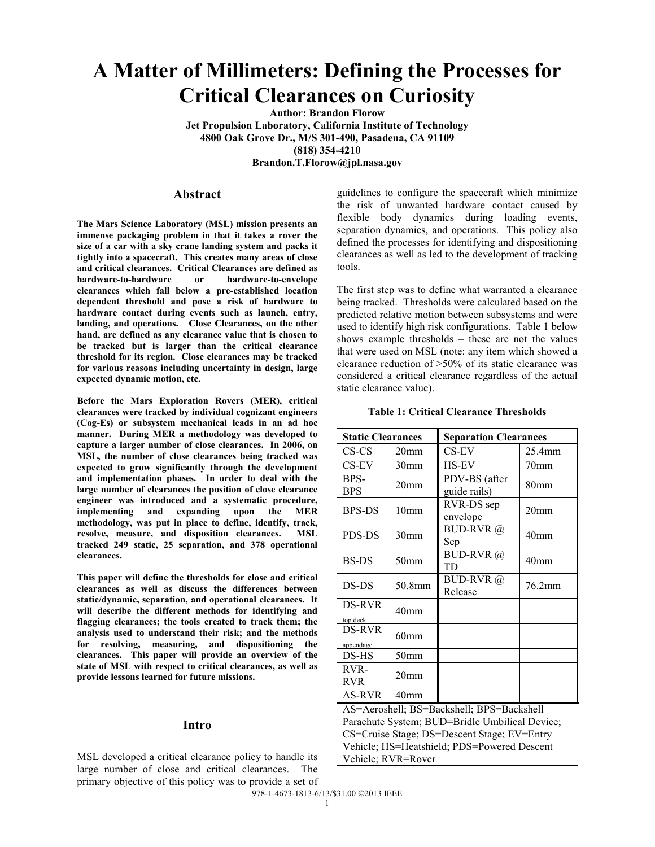# **A Matter of Millimeters: Defining the Processes for Critical Clearances on Curiosity**

**Author: Brandon Florow Jet Propulsion Laboratory, California Institute of Technology 4800 Oak Grove Dr., M/S 301-490, Pasadena, CA 91109 (818) 354-4210**

**Brandon.T.Florow@jpl.nasa.gov**

## **Abstract**

**The Mars Science Laboratory (MSL) mission presents an immense packaging problem in that it takes a rover the size of a car with a sky crane landing system and packs it tightly into a spacecraft. This creates many areas of close and critical clearances. Critical Clearances are defined as hardware-to-hardware or hardware-to-envelope clearances which fall below a pre-established location dependent threshold and pose a risk of hardware to hardware contact during events such as launch, entry, landing, and operations. Close Clearances, on the other hand, are defined as any clearance value that is chosen to be tracked but is larger than the critical clearance threshold for its region. Close clearances may be tracked for various reasons including uncertainty in design, large expected dynamic motion, etc.** 

**Before the Mars Exploration Rovers (MER), critical clearances were tracked by individual cognizant engineers (Cog-Es) or subsystem mechanical leads in an ad hoc manner. During MER a methodology was developed to capture a larger number of close clearances. In 2006, on MSL, the number of close clearances being tracked was expected to grow significantly through the development and implementation phases. In order to deal with the large number of clearances the position of close clearance engineer was introduced and a systematic procedure, implementing and expanding upon the MER methodology, was put in place to define, identify, track, resolve, measure, and disposition clearances. MSL tracked 249 static, 25 separation, and 378 operational clearances.**

**This paper will define the thresholds for close and critical clearances as well as discuss the differences between static/dynamic, separation, and operational clearances. It will describe the different methods for identifying and flagging clearances; the tools created to track them; the analysis used to understand their risk; and the methods for resolving, measuring, and dispositioning the clearances. This paper will provide an overview of the state of MSL with respect to critical clearances, as well as provide lessons learned for future missions.**

#### **Intro**

MSL developed a critical clearance policy to handle its large number of close and critical clearances. The primary objective of this policy was to provide a set of guidelines to configure the spacecraft which minimize the risk of unwanted hardware contact caused by flexible body dynamics during loading events, separation dynamics, and operations. This policy also defined the processes for identifying and dispositioning clearances as well as led to the development of tracking tools.

The first step was to define what warranted a clearance being tracked. Thresholds were calculated based on the predicted relative motion between subsystems and were used to identify high risk configurations. Table 1 below shows example thresholds – these are not the values that were used on MSL (note: any item which showed a clearance reduction of >50% of its static clearance was considered a critical clearance regardless of the actual static clearance value).

## **Table 1: Critical Clearance Thresholds**

| <b>Static Clearances</b>                                                                                                                                                                                        |                  | <b>Separation Clearances</b>  |                  |  |
|-----------------------------------------------------------------------------------------------------------------------------------------------------------------------------------------------------------------|------------------|-------------------------------|------------------|--|
| CS-CS                                                                                                                                                                                                           | 20 <sub>mm</sub> | CS-EV                         | $25.4$ mm        |  |
| $CS$ -EV                                                                                                                                                                                                        | 30 <sub>mm</sub> | <b>HS-EV</b>                  | 70 <sub>mm</sub> |  |
| BPS-<br><b>BPS</b>                                                                                                                                                                                              | 20 <sub>mm</sub> | PDV-BS (after<br>guide rails) | 80 <sub>mm</sub> |  |
| <b>BPS-DS</b>                                                                                                                                                                                                   | 10mm             | RVR-DS sep<br>envelope        | 20 <sub>mm</sub> |  |
| PDS-DS                                                                                                                                                                                                          | 30 <sub>mm</sub> | <b>BUD-RVR</b> @<br>Sep       | 40 <sub>mm</sub> |  |
| BS-DS                                                                                                                                                                                                           | 50 <sub>mm</sub> | <b>BUD-RVR</b> @<br><b>TD</b> | 40 <sub>mm</sub> |  |
| DS-DS                                                                                                                                                                                                           | 50.8mm           | BUD-RVR $(a)$<br>Release      | 76.2mm           |  |
| DS-RVR<br>top deck                                                                                                                                                                                              | 40 <sub>mm</sub> |                               |                  |  |
| DS-RVR<br>appendage                                                                                                                                                                                             | 60 <sub>mm</sub> |                               |                  |  |
| DS-HS                                                                                                                                                                                                           | 50 <sub>mm</sub> |                               |                  |  |
| RVR-<br><b>RVR</b>                                                                                                                                                                                              | 20 <sub>mm</sub> |                               |                  |  |
| AS-RVR                                                                                                                                                                                                          | 40 <sub>mm</sub> |                               |                  |  |
| AS=Aeroshell; BS=Backshell; BPS=Backshell<br>Parachute System; BUD=Bridle Umbilical Device;<br>CS=Cruise Stage; DS=Descent Stage; EV=Entry<br>Vehicle; HS=Heatshield; PDS=Powered Descent<br>Vehicle; RVR=Rover |                  |                               |                  |  |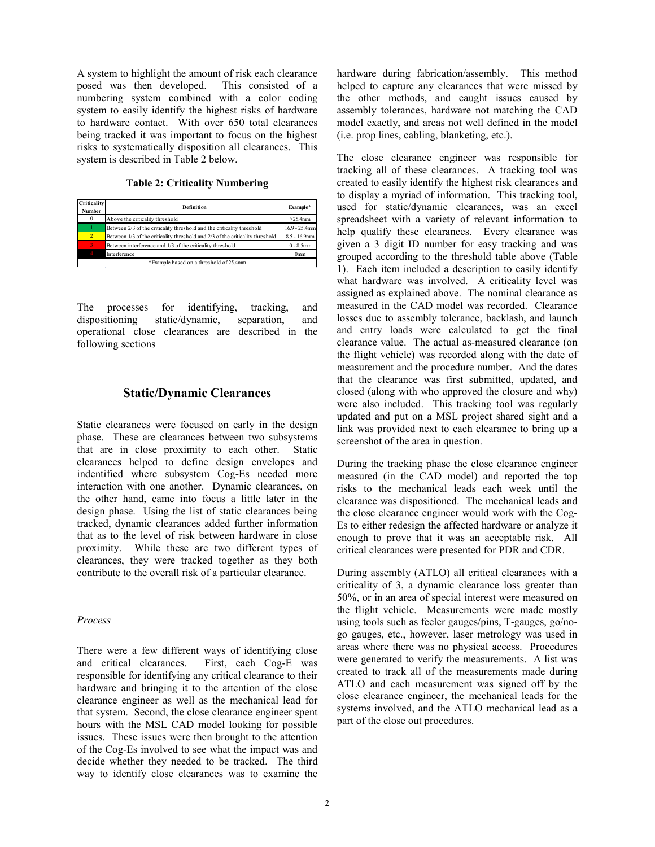A system to highlight the amount of risk each clearance<br>posed was then developed. This consisted of a posed was then developed. numbering system combined with a color coding system to easily identify the highest risks of hardware to hardware contact. With over 650 total clearances being tracked it was important to focus on the highest risks to systematically disposition all clearances. This system is described in Table 2 below.

| Criticality<br><b>Number</b> | <b>Definition</b>                                                             | Example*         |
|------------------------------|-------------------------------------------------------------------------------|------------------|
| $\mathbf{0}$                 | Above the criticality threshold                                               | $>25.4$ mm       |
|                              | Between 2/3 of the criticality threshold and the criticality threshold        | $16.9 - 25.4$ mm |
| $\overline{2}$               | Between 1/3 of the criticality threshold and 2/3 of the criticality threshold | $8.5 - 16.9$ mm  |
|                              | Between interference and 1/3 of the criticality threshold                     | $0 - 8.5$ mm     |
|                              | Interference                                                                  | 0 <sub>mm</sub>  |
|                              | *Example based on a threshold of 25.4mm                                       |                  |

The processes for identifying, tracking, and dispositioning static/dynamic, separation, and operational close clearances are described in the following sections

## **Static/Dynamic Clearances**

Static clearances were focused on early in the design phase. These are clearances between two subsystems that are in close proximity to each other. Static clearances helped to define design envelopes and indentified where subsystem Cog-Es needed more interaction with one another. Dynamic clearances, on the other hand, came into focus a little later in the design phase. Using the list of static clearances being tracked, dynamic clearances added further information that as to the level of risk between hardware in close proximity. While these are two different types of clearances, they were tracked together as they both contribute to the overall risk of a particular clearance.

#### *Process*

There were a few different ways of identifying close and critical clearances. First, each Cog-E was responsible for identifying any critical clearance to their hardware and bringing it to the attention of the close clearance engineer as well as the mechanical lead for that system. Second, the close clearance engineer spent hours with the MSL CAD model looking for possible issues. These issues were then brought to the attention of the Cog-Es involved to see what the impact was and decide whether they needed to be tracked. The third way to identify close clearances was to examine the

hardware during fabrication/assembly. This method helped to capture any clearances that were missed by the other methods, and caught issues caused by assembly tolerances, hardware not matching the CAD model exactly, and areas not well defined in the model (i.e. prop lines, cabling, blanketing, etc.).

The close clearance engineer was responsible for tracking all of these clearances. A tracking tool was created to easily identify the highest risk clearances and to display a myriad of information. This tracking tool, used for static/dynamic clearances, was an excel spreadsheet with a variety of relevant information to help qualify these clearances. Every clearance was given a 3 digit ID number for easy tracking and was grouped according to the threshold table above (Table 1). Each item included a description to easily identify what hardware was involved. A criticality level was assigned as explained above. The nominal clearance as measured in the CAD model was recorded. Clearance losses due to assembly tolerance, backlash, and launch and entry loads were calculated to get the final clearance value. The actual as-measured clearance (on the flight vehicle) was recorded along with the date of measurement and the procedure number. And the dates that the clearance was first submitted, updated, and closed (along with who approved the closure and why) were also included. This tracking tool was regularly updated and put on a MSL project shared sight and a link was provided next to each clearance to bring up a screenshot of the area in question.

During the tracking phase the close clearance engineer measured (in the CAD model) and reported the top risks to the mechanical leads each week until the clearance was dispositioned. The mechanical leads and the close clearance engineer would work with the Cog-Es to either redesign the affected hardware or analyze it enough to prove that it was an acceptable risk. All critical clearances were presented for PDR and CDR.

During assembly (ATLO) all critical clearances with a criticality of 3, a dynamic clearance loss greater than 50%, or in an area of special interest were measured on the flight vehicle. Measurements were made mostly using tools such as feeler gauges/pins, T-gauges, go/nogo gauges, etc., however, laser metrology was used in areas where there was no physical access. Procedures were generated to verify the measurements. A list was created to track all of the measurements made during ATLO and each measurement was signed off by the close clearance engineer, the mechanical leads for the systems involved, and the ATLO mechanical lead as a part of the close out procedures.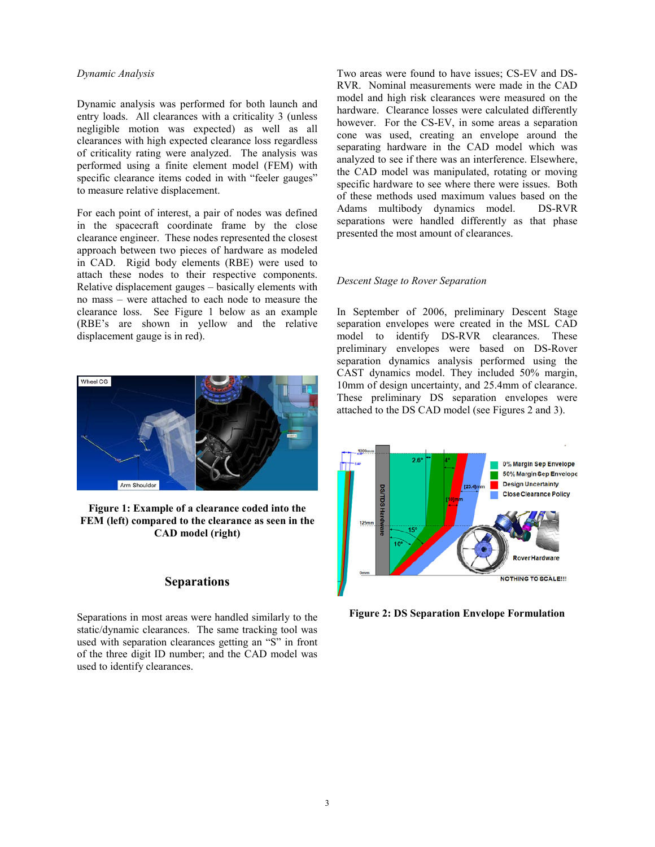## *Dynamic Analysis*

Dynamic analysis was performed for both launch and entry loads. All clearances with a criticality 3 (unless negligible motion was expected) as well as all clearances with high expected clearance loss regardless of criticality rating were analyzed. The analysis was performed using a finite element model (FEM) with specific clearance items coded in with "feeler gauges" to measure relative displacement.

For each point of interest, a pair of nodes was defined in the spacecraft coordinate frame by the close clearance engineer. These nodes represented the closest approach between two pieces of hardware as modeled in CAD. Rigid body elements (RBE) were used to attach these nodes to their respective components. Relative displacement gauges – basically elements with no mass – were attached to each node to measure the clearance loss. See Figure 1 below as an example (RBE's are shown in yellow and the relative displacement gauge is in red).



**Figure 1: Example of a clearance coded into the FEM (left) compared to the clearance as seen in the CAD model (right)**

# **Separations**

Separations in most areas were handled similarly to the static/dynamic clearances. The same tracking tool was used with separation clearances getting an "S" in front of the three digit ID number; and the CAD model was used to identify clearances.

Two areas were found to have issues; CS-EV and DS-RVR. Nominal measurements were made in the CAD model and high risk clearances were measured on the hardware. Clearance losses were calculated differently however. For the CS-EV, in some areas a separation cone was used, creating an envelope around the separating hardware in the CAD model which was analyzed to see if there was an interference. Elsewhere, the CAD model was manipulated, rotating or moving specific hardware to see where there were issues. Both of these methods used maximum values based on the Adams multibody dynamics model. DS-RVR separations were handled differently as that phase presented the most amount of clearances.

#### *Descent Stage to Rover Separation*

In September of 2006, preliminary Descent Stage separation envelopes were created in the MSL CAD model to identify DS-RVR clearances. These preliminary envelopes were based on DS-Rover separation dynamics analysis performed using the CAST dynamics model. They included 50% margin, 10mm of design uncertainty, and 25.4mm of clearance. These preliminary DS separation envelopes were attached to the DS CAD model (see Figures 2 and 3).



**Figure 2: DS Separation Envelope Formulation**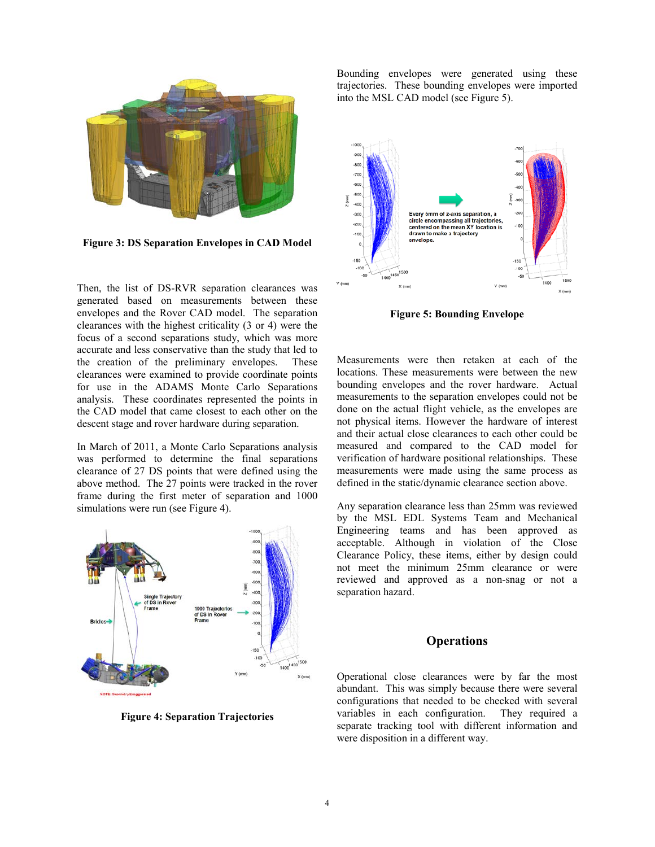

**Figure 3: DS Separation Envelopes in CAD Model**

Then, the list of DS-RVR separation clearances was generated based on measurements between these envelopes and the Rover CAD model. The separation clearances with the highest criticality (3 or 4) were the focus of a second separations study, which was more accurate and less conservative than the study that led to the creation of the preliminary envelopes. These clearances were examined to provide coordinate points for use in the ADAMS Monte Carlo Separations analysis. These coordinates represented the points in the CAD model that came closest to each other on the descent stage and rover hardware during separation.

In March of 2011, a Monte Carlo Separations analysis was performed to determine the final separations clearance of 27 DS points that were defined using the above method. The 27 points were tracked in the rover frame during the first meter of separation and 1000 simulations were run (see Figure 4).



**Figure 4: Separation Trajectories**

Bounding envelopes were generated using these trajectories. These bounding envelopes were imported into the MSL CAD model (see Figure 5).



**Figure 5: Bounding Envelope**

Measurements were then retaken at each of the locations. These measurements were between the new bounding envelopes and the rover hardware. Actual measurements to the separation envelopes could not be done on the actual flight vehicle, as the envelopes are not physical items. However the hardware of interest and their actual close clearances to each other could be measured and compared to the CAD model for verification of hardware positional relationships. These measurements were made using the same process as defined in the static/dynamic clearance section above.

Any separation clearance less than 25mm was reviewed by the MSL EDL Systems Team and Mechanical Engineering teams and has been approved as acceptable. Although in violation of the Close Clearance Policy, these items, either by design could not meet the minimum 25mm clearance or were reviewed and approved as a non-snag or not a separation hazard.

## **Operations**

Operational close clearances were by far the most abundant. This was simply because there were several configurations that needed to be checked with several variables in each configuration. They required a separate tracking tool with different information and were disposition in a different way.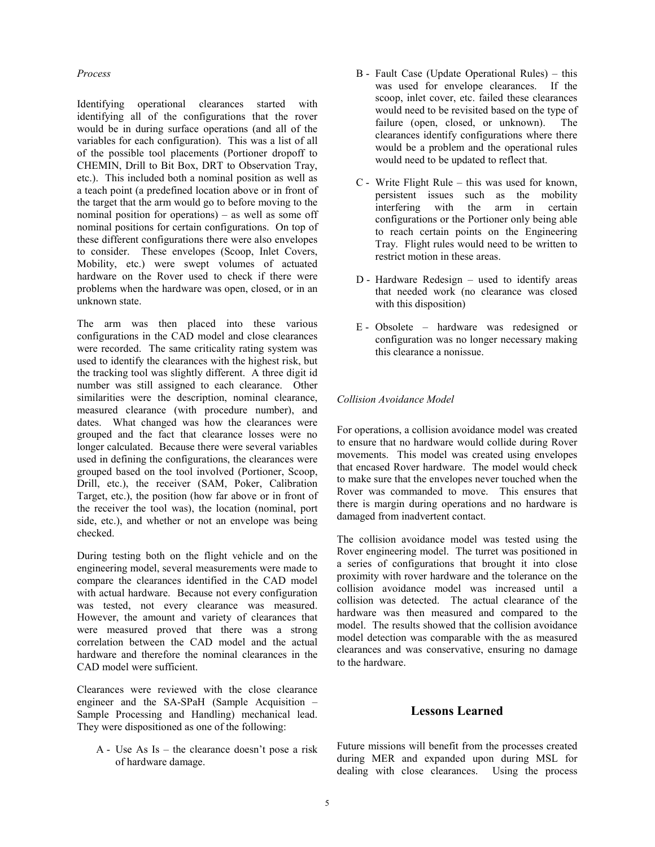## *Process*

Identifying operational clearances started with identifying all of the configurations that the rover would be in during surface operations (and all of the variables for each configuration). This was a list of all of the possible tool placements (Portioner dropoff to CHEMIN, Drill to Bit Box, DRT to Observation Tray, etc.). This included both a nominal position as well as a teach point (a predefined location above or in front of the target that the arm would go to before moving to the nominal position for operations) – as well as some off nominal positions for certain configurations. On top of these different configurations there were also envelopes to consider. These envelopes (Scoop, Inlet Covers, Mobility, etc.) were swept volumes of actuated hardware on the Rover used to check if there were problems when the hardware was open, closed, or in an unknown state.

The arm was then placed into these various configurations in the CAD model and close clearances were recorded. The same criticality rating system was used to identify the clearances with the highest risk, but the tracking tool was slightly different. A three digit id number was still assigned to each clearance. Other similarities were the description, nominal clearance, measured clearance (with procedure number), and dates. What changed was how the clearances were grouped and the fact that clearance losses were no longer calculated. Because there were several variables used in defining the configurations, the clearances were grouped based on the tool involved (Portioner, Scoop, Drill, etc.), the receiver (SAM, Poker, Calibration Target, etc.), the position (how far above or in front of the receiver the tool was), the location (nominal, port side, etc.), and whether or not an envelope was being checked.

During testing both on the flight vehicle and on the engineering model, several measurements were made to compare the clearances identified in the CAD model with actual hardware. Because not every configuration was tested, not every clearance was measured. However, the amount and variety of clearances that were measured proved that there was a strong correlation between the CAD model and the actual hardware and therefore the nominal clearances in the CAD model were sufficient.

Clearances were reviewed with the close clearance engineer and the SA-SPaH (Sample Acquisition – Sample Processing and Handling) mechanical lead. They were dispositioned as one of the following:

A - Use As Is – the clearance doesn't pose a risk of hardware damage.

- B Fault Case (Update Operational Rules) this was used for envelope clearances. If the scoop, inlet cover, etc. failed these clearances would need to be revisited based on the type of failure (open, closed, or unknown). The clearances identify configurations where there would be a problem and the operational rules would need to be updated to reflect that.
- C Write Flight Rule this was used for known, persistent issues such as the mobility interfering with the arm in certain configurations or the Portioner only being able to reach certain points on the Engineering Tray. Flight rules would need to be written to restrict motion in these areas.
- D Hardware Redesign used to identify areas that needed work (no clearance was closed with this disposition)
- E Obsolete hardware was redesigned or configuration was no longer necessary making this clearance a nonissue.

## *Collision Avoidance Model*

For operations, a collision avoidance model was created to ensure that no hardware would collide during Rover movements. This model was created using envelopes that encased Rover hardware. The model would check to make sure that the envelopes never touched when the Rover was commanded to move. This ensures that there is margin during operations and no hardware is damaged from inadvertent contact.

The collision avoidance model was tested using the Rover engineering model. The turret was positioned in a series of configurations that brought it into close proximity with rover hardware and the tolerance on the collision avoidance model was increased until a collision was detected. The actual clearance of the hardware was then measured and compared to the model. The results showed that the collision avoidance model detection was comparable with the as measured clearances and was conservative, ensuring no damage to the hardware.

# **Lessons Learned**

Future missions will benefit from the processes created during MER and expanded upon during MSL for dealing with close clearances. Using the process